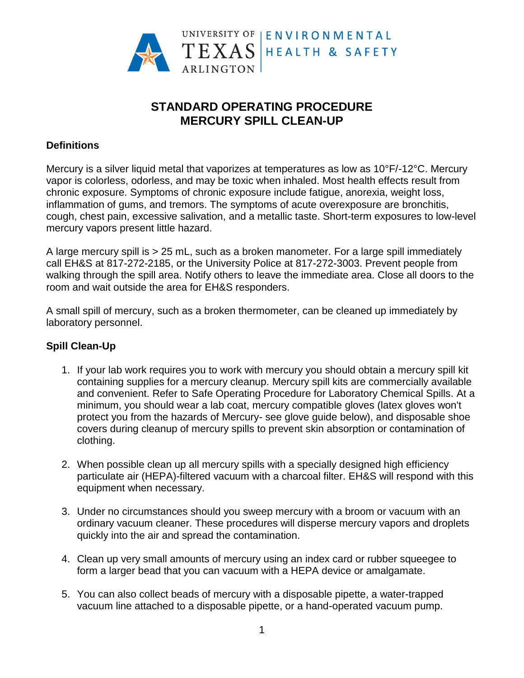

# **STANDARD OPERATING PROCEDURE MERCURY SPILL CLEAN-UP**

### **Definitions**

Mercury is a silver liquid metal that vaporizes at temperatures as low as 10°F/-12°C. Mercury vapor is colorless, odorless, and may be toxic when inhaled. Most health effects result from chronic exposure. Symptoms of chronic exposure include fatigue, anorexia, weight loss, inflammation of gums, and tremors. The symptoms of acute overexposure are bronchitis, cough, chest pain, excessive salivation, and a metallic taste. Short-term exposures to low-level mercury vapors present little hazard.

A large mercury spill is > 25 mL, such as a broken manometer. For a large spill immediately call EH&S at 817-272-2185, or the University Police at 817-272-3003. Prevent people from walking through the spill area. Notify others to leave the immediate area. Close all doors to the room and wait outside the area for EH&S responders.

A small spill of mercury, such as a broken thermometer, can be cleaned up immediately by laboratory personnel.

## **Spill Clean-Up**

- 1. If your lab work requires you to work with mercury you should obtain a mercury spill kit containing supplies for a mercury cleanup. Mercury spill kits are commercially available and convenient. Refer to Safe Operating Procedure for Laboratory Chemical Spills. At a minimum, you should wear a lab coat, mercury compatible gloves (latex gloves won't protect you from the hazards of Mercury- see glove guide below), and disposable shoe covers during cleanup of mercury spills to prevent skin absorption or contamination of clothing.
- 2. When possible clean up all mercury spills with a specially designed high efficiency particulate air (HEPA)-filtered vacuum with a charcoal filter. EH&S will respond with this equipment when necessary.
- 3. Under no circumstances should you sweep mercury with a broom or vacuum with an ordinary vacuum cleaner. These procedures will disperse mercury vapors and droplets quickly into the air and spread the contamination.
- 4. Clean up very small amounts of mercury using an index card or rubber squeegee to form a larger bead that you can vacuum with a HEPA device or amalgamate.
- 5. You can also collect beads of mercury with a disposable pipette, a water-trapped vacuum line attached to a disposable pipette, or a hand-operated vacuum pump.